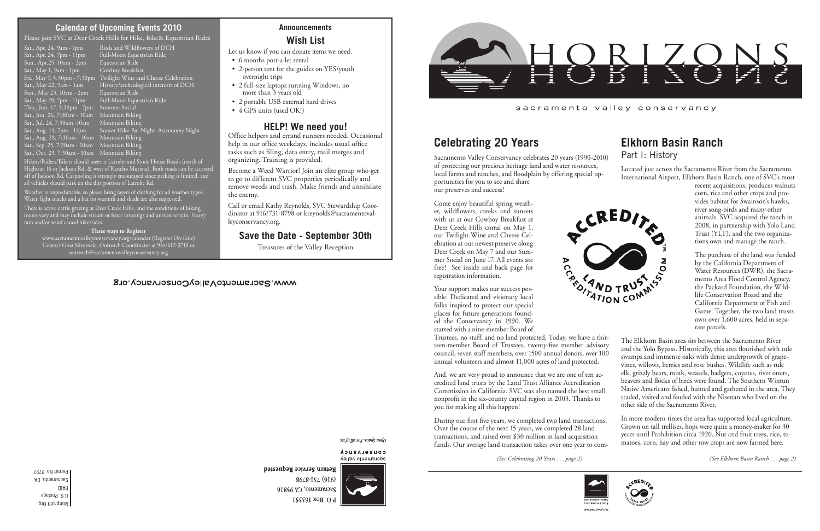Nonprofit Org. U.S. Postage PAID Sacramento, CA Permit No. 2727 *(See Celebrating 20 Years . . . page 2) (See Elkhorn Basin Ranch . . . page 2)*



- 6 months port-a-let rental
- 2-person tent for the guides on YES/youth overnight trips
- 2 full-size laptops running Windows, no more than 3 years old
- 2 portable USB external hard drives
- 4 GPS units (used OK!)

Open Space. For all of u.

Return Service Requested

### **Announcements Wish List**

Let us know if you can donate items we need.

## **HELP! We need you!**

Office helpers and errand runners needed. Occasional help in our office weekdays, includes usual office tasks such as filing, data entry, mail merges and organizing. Training is provided.

Become a Weed Warrior! Join an elite group who get to go to different SVC properties periodically and remove weeds and trash. Make friends and annihilate the enemy.

Call or email Kathy Reynolds, SVC Stewardship Coordinator at 916/731-8798 or kreynolds@sacramentovalleyconservancy.org.

## **Save the Date - September 30th**

Treasures of the Valley Reception

#### WWW.SacramentoValleyConservancy.org

open Space For all of using

CONSELASUCA sacramento valley



 $86/8 - 15/916$ Sacramento, CA 95816 P.O. Box 163351



sacramento valley conservancy

## **Elkhorn Basin Ranch**

Part I: History

corn, rice and other crops and provides habitat for Swainson's hawks, river song-birds and many other animals. SVC acquired the ranch in 2008, in partnership with Yolo Land Trust (YLT), and the two organizations own and manage the ranch.

The purchase of the land was funded by the California Department of Water Resources (DWR), the Sacramento Area Flood Control Agency, the Packard Foundation, the Wildlife Conservation Board and the California Department of Fish and Game. Together, the two land trusts own over 1,600 acres, held in separate parcels.



Located just across the Sacramento River from the Sacramento International Airport, Elkhorn Basin Ranch, one of SVC's most recent acquisitions, produces walnuts Sacramento Valley Conservancy celebrates 20 years (1990-2010) of protecting our precious heritage land and water resources, local farms and ranches, and floodplain by offering special opportunities for you to see and share our preserves and success!

# **Celebrating 20 Years**

The Elkhorn Basin area sits between the Sacramento River and the Yolo Bypass. Historically, this area flourished with tule swamps and immense oaks with dense undergrowth of grapevines, willows, berries and rose bushes. Wildlife such as tule elk, grizzly bears, mink, weasels, badgers, coyotes, river otters, beavers and flocks of birds were found. The Southern Wintun Native Americans fished, hunted and gathered in the area. They traded, visited and feuded with the Nisenan who lived on the other side of the Sacramento River. Trustees, no staff, and no land protected. Today, we have a thir-

Hikers/Riders/Bikers should meet at Latrobe and Stone House Roads (north of Highway 16 or Jackson Rd. & west of Rancho Murieta). Both roads can be accessed off of Jackson Rd. Carpooling is strongly encouraged since parking is limited, and all vehicles should park on the dirt portion of Latrobe Rd.

> Come enjoy beautiful spring weather, wildflowers, creeks and sunsets with us at our Cowboy Breakfast at Deer Creek Hills corral on May 1, our Twilight Wine and Cheese Celebration at our newest preserve along Deer Creek on May 7 and our Summer Social on June 17. All events are free! See inside and back page for registration information.



In more modern times the area has supported local agriculture. Grown on tall trellises, hops were quite a money-maker for 30 years until Prohibition circa 1920. Nut and fruit trees, rice, tomatoes, corn, hay and other row crops are now farmed here. During our first five years, we completed two land transactions. Over the course of the next 15 years, we completed 28 land transactions, and raised over \$30 million in land acquisition funds. Our average land transaction takes over one year to com-

Your support makes our success possible. Dedicated and visionary local folks inspired to protect our special places for future generations founded the Conservancy in 1990. We started with a nine-member Board of

teen-member Board of Trustees, twenty-five member advisory council, seven staff members, over 1500 annual donors, over 100 annual volunteers and almost 11,000 acres of land protected. And, we are very proud to announce that we are one of ten accredited land trusts by the Land Trust Alliance Accreditation Commission in California. SVC was also named the best small nonprofit in the six-county capital region in 2003. Thanks to you for making all this happen!

#### **Calendar of Upcoming Events 2010**

Please join SVC at Deer Creek Hills for Hike, Bike& Equestrian Rides

Sun., Apr.25, 10am - 2pm Equestrian Ride Sat.,  $May 1$ ,  $9am - 1pm$ Sun., May 23, 10am - 2pm Equestrian Ride Sat., May 29, 7pm - 11pm Full-Moon Equestrian Ride Thu., Jun. 17, 5:30pm - 7pm Summer Social Sat., Jun. 26, 7:30am - 10am - Mountain Biking<br>Sat., Iul. 24, 7:30am -10am - Mountain Biking Sat., Jul. 24, 7:30am -10am Sat., Aug. 14, 7pm - 11pm<br>Sat., Aug. 14, 7pm - 11pm<br>Sat., Aug. 28, 7:30am - 10am Sat., Sep. 25, 7:30am - 10am Mountain Biking Sat., Oct. 23, 7:30am - 10am Mountain Biking

Sat., Apr. 24, 9am - 1pm Birds and Wildflowers of DCH<br>Sat., Apr. 24, 7pm - 11pm Full-Moon Equestrian Ride Full-Moon Equestrian Ride<br>Equestrian Ride Fri., May 7, 5:30pm - 7:30pm Twilight Wine and Cheese Celebration Sat., May 22,  $9$ am -  $1$ am History/archeological interests of DCH Sunset Hike-Bat Night-Astronomy Night-<br>Mountain Biking

Weather is unpredictable, so please bring layers of clothing for all weather types. Water, light snacks and a hat for warmth and shade are also suggested.

There is active cattle grazing at Deer Creek Hills, and the conditions of hiking routes vary and may include stream or fence crossings and uneven terrain. Heavy rain and/or wind cancel hike/rides.

**Three ways to Register** www.sacramentovalleyconservancy.org/calendar (Register On-Line) Contact Gina Silvernale, Outreach Coordinator at 916/612-3719 or outreach@sacramentovalleyconservancy.org